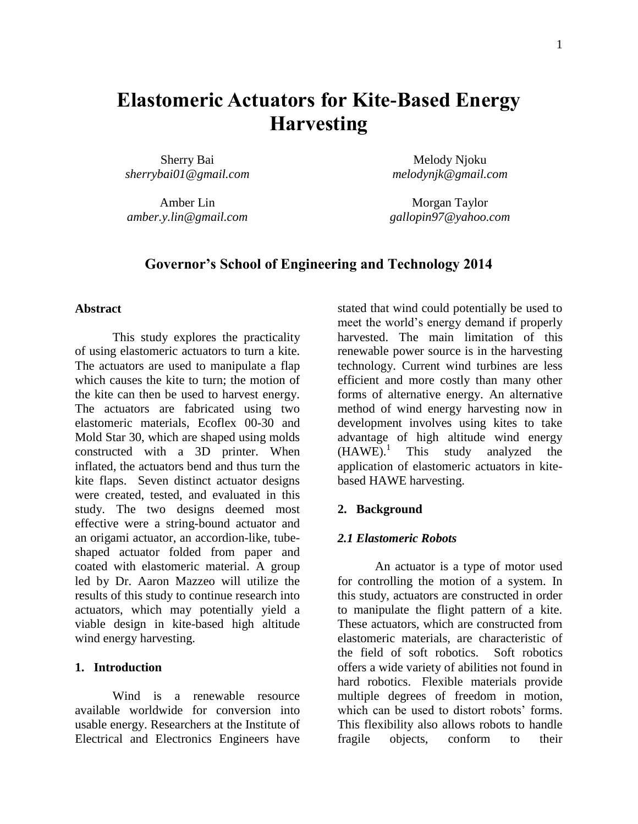# **Elastomeric Actuators for Kite-Based Energy Harvesting**

Sherry Bai *sherrybai01@gmail.com*

Amber Lin *amber.y.lin@gmail.com*

Melody Njoku *melodynjk@gmail.com*

Morgan Taylor *gallopin97@yahoo.com*

# **Governor's School of Engineering and Technology 2014**

#### **Abstract**

This study explores the practicality of using elastomeric actuators to turn a kite. The actuators are used to manipulate a flap which causes the kite to turn; the motion of the kite can then be used to harvest energy. The actuators are fabricated using two elastomeric materials, Ecoflex 00-30 and Mold Star 30, which are shaped using molds constructed with a 3D printer. When inflated, the actuators bend and thus turn the kite flaps. Seven distinct actuator designs were created, tested, and evaluated in this study. The two designs deemed most effective were a string-bound actuator and an origami actuator, an accordion-like, tubeshaped actuator folded from paper and coated with elastomeric material. A group led by Dr. Aaron Mazzeo will utilize the results of this study to continue research into actuators, which may potentially yield a viable design in kite-based high altitude wind energy harvesting.

#### **1. Introduction**

Wind is a renewable resource available worldwide for conversion into usable energy. Researchers at the Institute of Electrical and Electronics Engineers have

stated that wind could potentially be used to meet the world's energy demand if properly harvested. The main limitation of this renewable power source is in the harvesting technology. Current wind turbines are less efficient and more costly than many other forms of alternative energy. An alternative method of wind energy harvesting now in development involves using kites to take advantage of high altitude wind energy  $(HAWE).<sup>1</sup>$  This study analyzed the application of elastomeric actuators in kitebased HAWE harvesting.

#### **2. Background**

#### *2.1 Elastomeric Robots*

An actuator is a type of motor used for controlling the motion of a system. In this study, actuators are constructed in order to manipulate the flight pattern of a kite. These actuators, which are constructed from elastomeric materials, are characteristic of the field of soft robotics. Soft robotics offers a wide variety of abilities not found in hard robotics. Flexible materials provide multiple degrees of freedom in motion, which can be used to distort robots' forms. This flexibility also allows robots to handle fragile objects, conform to their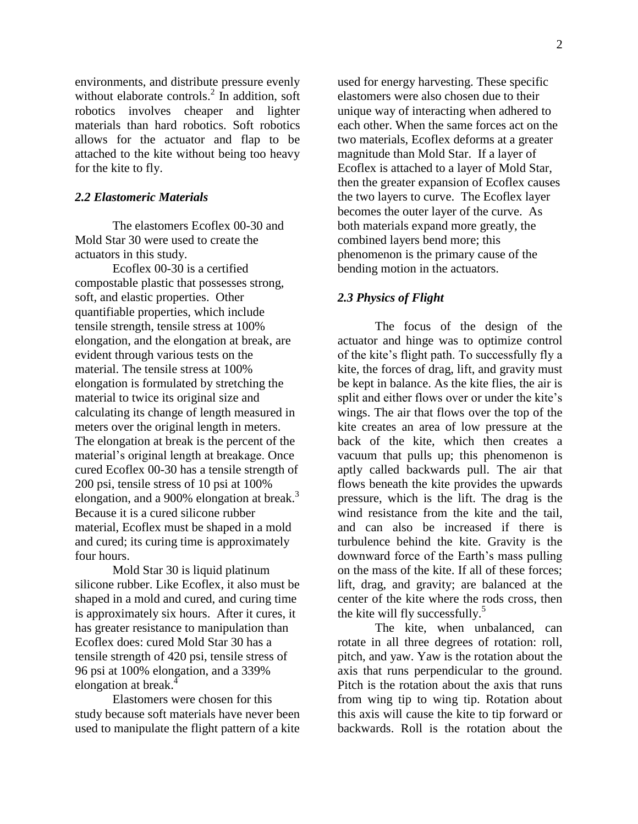environments, and distribute pressure evenly without elaborate controls.<sup>2</sup> In addition, soft robotics involves cheaper and lighter materials than hard robotics. Soft robotics allows for the actuator and flap to be attached to the kite without being too heavy for the kite to fly.

#### *2.2 Elastomeric Materials*

The elastomers Ecoflex 00-30 and Mold Star 30 were used to create the actuators in this study.

Ecoflex 00-30 is a certified compostable plastic that possesses strong, soft, and elastic properties. Other quantifiable properties, which include tensile strength, tensile stress at 100% elongation, and the elongation at break, are evident through various tests on the material. The tensile stress at 100% elongation is formulated by stretching the material to twice its original size and calculating its change of length measured in meters over the original length in meters. The elongation at break is the percent of the material's original length at breakage. Once cured Ecoflex 00-30 has a tensile strength of 200 psi, tensile stress of 10 psi at 100% elongation, and a 900% elongation at break. $3$ Because it is a cured silicone rubber material, Ecoflex must be shaped in a mold and cured; its curing time is approximately four hours.

Mold Star 30 is liquid platinum silicone rubber. Like Ecoflex, it also must be shaped in a mold and cured, and curing time is approximately six hours. After it cures, it has greater resistance to manipulation than Ecoflex does: cured Mold Star 30 has a tensile strength of 420 psi, tensile stress of 96 psi at 100% elongation, and a 339% elongation at break.<sup>4</sup>

Elastomers were chosen for this study because soft materials have never been used to manipulate the flight pattern of a kite used for energy harvesting. These specific elastomers were also chosen due to their unique way of interacting when adhered to each other. When the same forces act on the two materials, Ecoflex deforms at a greater magnitude than Mold Star. If a layer of Ecoflex is attached to a layer of Mold Star, then the greater expansion of Ecoflex causes the two layers to curve. The Ecoflex layer becomes the outer layer of the curve. As both materials expand more greatly, the combined layers bend more; this phenomenon is the primary cause of the bending motion in the actuators.

#### *2.3 Physics of Flight*

The focus of the design of the actuator and hinge was to optimize control of the kite's flight path. To successfully fly a kite, the forces of drag, lift, and gravity must be kept in balance. As the kite flies, the air is split and either flows over or under the kite's wings. The air that flows over the top of the kite creates an area of low pressure at the back of the kite, which then creates a vacuum that pulls up; this phenomenon is aptly called backwards pull. The air that flows beneath the kite provides the upwards pressure, which is the lift. The drag is the wind resistance from the kite and the tail, and can also be increased if there is turbulence behind the kite. Gravity is the downward force of the Earth's mass pulling on the mass of the kite. If all of these forces; lift, drag, and gravity; are balanced at the center of the kite where the rods cross, then the kite will fly successfully.<sup>5</sup>

The kite, when unbalanced, can rotate in all three degrees of rotation: roll, pitch, and yaw. Yaw is the rotation about the axis that runs perpendicular to the ground. Pitch is the rotation about the axis that runs from wing tip to wing tip. Rotation about this axis will cause the kite to tip forward or backwards. Roll is the rotation about the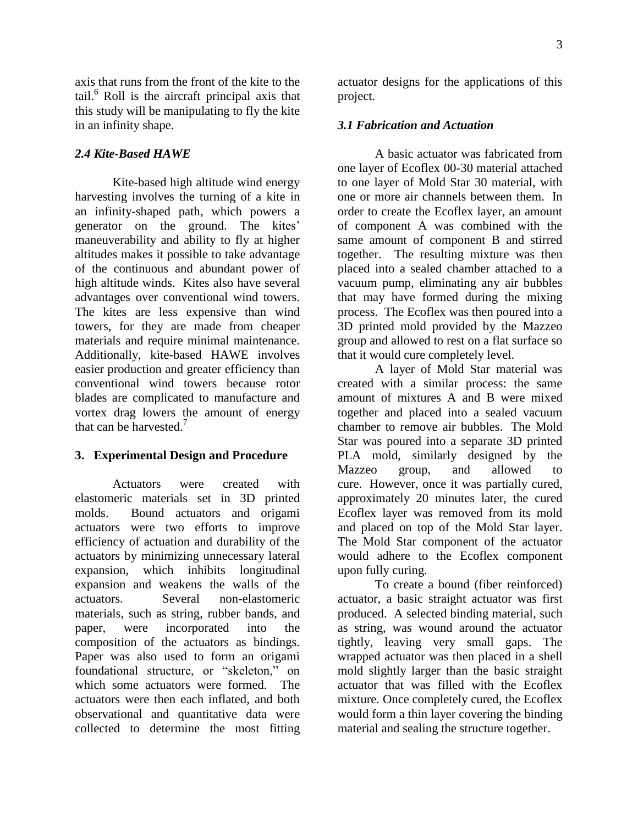axis that runs from the front of the kite to the tail. <sup>6</sup> Roll is the aircraft principal axis that this study will be manipulating to fly the kite in an infinity shape.

### *2.4 Kite-Based HAWE*

Kite-based high altitude wind energy harvesting involves the turning of a kite in an infinity-shaped path, which powers a generator on the ground. The kites' maneuverability and ability to fly at higher altitudes makes it possible to take advantage of the continuous and abundant power of high altitude winds. Kites also have several advantages over conventional wind towers. The kites are less expensive than wind towers, for they are made from cheaper materials and require minimal maintenance. Additionally, kite-based HAWE involves easier production and greater efficiency than conventional wind towers because rotor blades are complicated to manufacture and vortex drag lowers the amount of energy that can be harvested.<sup>7</sup>

#### **3. Experimental Design and Procedure**

Actuators were created with elastomeric materials set in 3D printed molds. Bound actuators and origami actuators were two efforts to improve efficiency of actuation and durability of the actuators by minimizing unnecessary lateral expansion, which inhibits longitudinal expansion and weakens the walls of the actuators. Several non-elastomeric materials, such as string, rubber bands, and paper, were incorporated into the composition of the actuators as bindings. Paper was also used to form an origami foundational structure, or "skeleton," on which some actuators were formed. The actuators were then each inflated, and both observational and quantitative data were collected to determine the most fitting

actuator designs for the applications of this project.

#### *3.1 Fabrication and Actuation*

A basic actuator was fabricated from one layer of Ecoflex 00-30 material attached to one layer of Mold Star 30 material, with one or more air channels between them. In order to create the Ecoflex layer, an amount of component A was combined with the same amount of component B and stirred together. The resulting mixture was then placed into a sealed chamber attached to a vacuum pump, eliminating any air bubbles that may have formed during the mixing process. The Ecoflex was then poured into a 3D printed mold provided by the Mazzeo group and allowed to rest on a flat surface so that it would cure completely level.

A layer of Mold Star material was created with a similar process: the same amount of mixtures A and B were mixed together and placed into a sealed vacuum chamber to remove air bubbles. The Mold Star was poured into a separate 3D printed PLA mold, similarly designed by the Mazzeo group, and allowed to cure. However, once it was partially cured, approximately 20 minutes later, the cured Ecoflex layer was removed from its mold and placed on top of the Mold Star layer. The Mold Star component of the actuator would adhere to the Ecoflex component upon fully curing.

To create a bound (fiber reinforced) actuator, a basic straight actuator was first produced. A selected binding material, such as string, was wound around the actuator tightly, leaving very small gaps. The wrapped actuator was then placed in a shell mold slightly larger than the basic straight actuator that was filled with the Ecoflex mixture. Once completely cured, the Ecoflex would form a thin layer covering the binding material and sealing the structure together.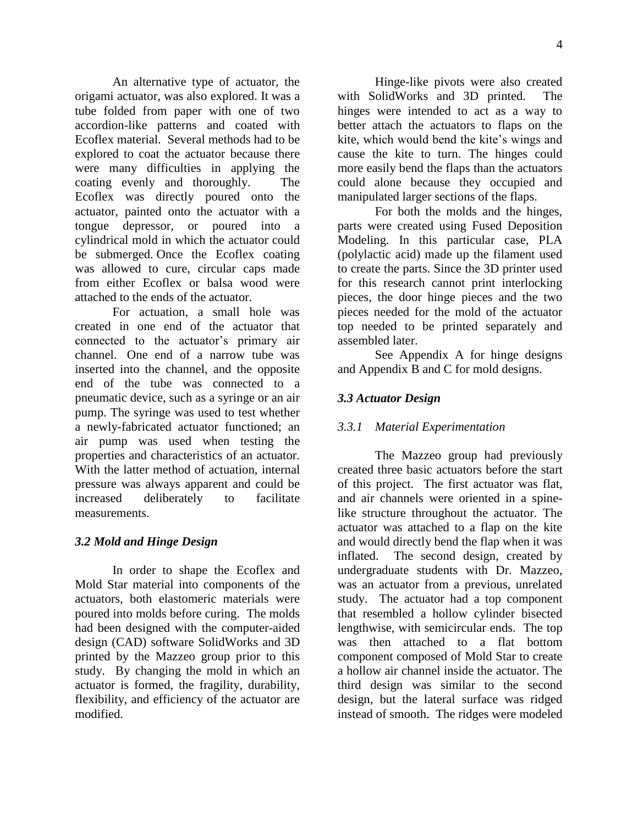An alternative type of actuator, the origami actuator, was also explored. It was a tube folded from paper with one of two accordion-like patterns and coated with Ecoflex material. Several methods had to be explored to coat the actuator because there were many difficulties in applying the coating evenly and thoroughly. The Ecoflex was directly poured onto the actuator, painted onto the actuator with a tongue depressor, or poured into a cylindrical mold in which the actuator could be submerged. Once the Ecoflex coating was allowed to cure, circular caps made from either Ecoflex or balsa wood were attached to the ends of the actuator.

For actuation, a small hole was created in one end of the actuator that connected to the actuator's primary air channel. One end of a narrow tube was inserted into the channel, and the opposite end of the tube was connected to a pneumatic device, such as a syringe or an air pump. The syringe was used to test whether a newly-fabricated actuator functioned; an air pump was used when testing the properties and characteristics of an actuator. With the latter method of actuation, internal pressure was always apparent and could be increased deliberately to facilitate measurements.

#### *3.2 Mold and Hinge Design*

In order to shape the Ecoflex and Mold Star material into components of the actuators, both elastomeric materials were poured into molds before curing. The molds had been designed with the computer-aided design (CAD) software SolidWorks and 3D printed by the Mazzeo group prior to this study. By changing the mold in which an actuator is formed, the fragility, durability, flexibility, and efficiency of the actuator are modified.

Hinge-like pivots were also created with SolidWorks and 3D printed. The hinges were intended to act as a way to better attach the actuators to flaps on the kite, which would bend the kite's wings and cause the kite to turn. The hinges could more easily bend the flaps than the actuators could alone because they occupied and manipulated larger sections of the flaps.

For both the molds and the hinges, parts were created using Fused Deposition Modeling. In this particular case, PLA (polylactic acid) made up the filament used to create the parts. Since the 3D printer used for this research cannot print interlocking pieces, the door hinge pieces and the two pieces needed for the mold of the actuator top needed to be printed separately and assembled later.

See Appendix A for hinge designs and Appendix B and C for mold designs.

## *3.3 Actuator Design*

#### *3.3.1 Material Experimentation*

The Mazzeo group had previously created three basic actuators before the start of this project. The first actuator was flat, and air channels were oriented in a spinelike structure throughout the actuator. The actuator was attached to a flap on the kite and would directly bend the flap when it was inflated. The second design, created by undergraduate students with Dr. Mazzeo, was an actuator from a previous, unrelated study. The actuator had a top component that resembled a hollow cylinder bisected lengthwise, with semicircular ends. The top was then attached to a flat bottom component composed of Mold Star to create a hollow air channel inside the actuator. The third design was similar to the second design, but the lateral surface was ridged instead of smooth. The ridges were modeled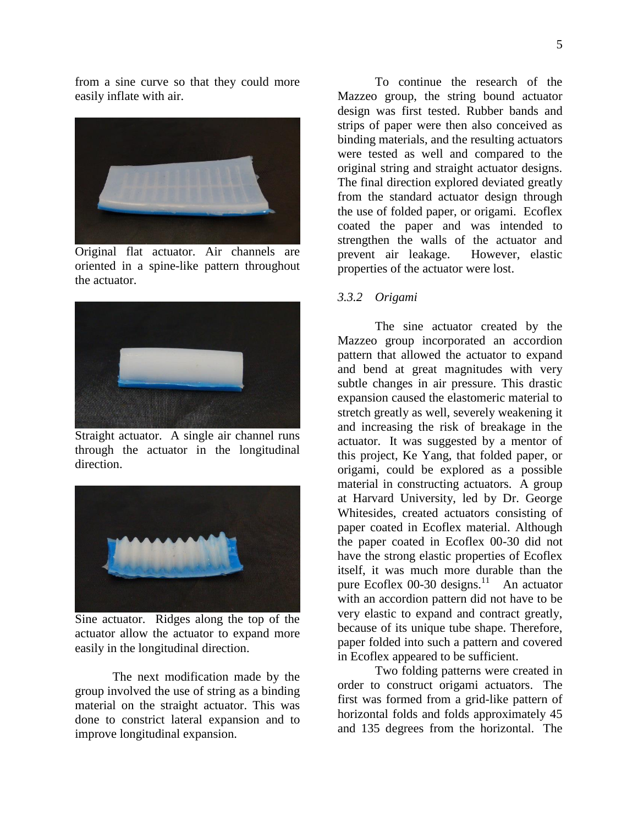from a sine curve so that they could more easily inflate with air.



Original flat actuator. Air channels are oriented in a spine-like pattern throughout the actuator.



Straight actuator. A single air channel runs through the actuator in the longitudinal direction.



Sine actuator. Ridges along the top of the actuator allow the actuator to expand more easily in the longitudinal direction.

The next modification made by the group involved the use of string as a binding material on the straight actuator. This was done to constrict lateral expansion and to improve longitudinal expansion.

To continue the research of the Mazzeo group, the string bound actuator design was first tested. Rubber bands and strips of paper were then also conceived as binding materials, and the resulting actuators were tested as well and compared to the original string and straight actuator designs. The final direction explored deviated greatly from the standard actuator design through the use of folded paper, or origami. Ecoflex coated the paper and was intended to strengthen the walls of the actuator and prevent air leakage. However, elastic properties of the actuator were lost.

#### *3.3.2 Origami*

The sine actuator created by the Mazzeo group incorporated an accordion pattern that allowed the actuator to expand and bend at great magnitudes with very subtle changes in air pressure. This drastic expansion caused the elastomeric material to stretch greatly as well, severely weakening it and increasing the risk of breakage in the actuator. It was suggested by a mentor of this project, Ke Yang, that folded paper, or origami, could be explored as a possible material in constructing actuators. A group at Harvard University, led by Dr. George Whitesides, created actuators consisting of paper coated in Ecoflex material. Although the paper coated in Ecoflex 00-30 did not have the strong elastic properties of Ecoflex itself, it was much more durable than the pure Ecoflex 00-30 designs.<sup>11</sup> An actuator with an accordion pattern did not have to be very elastic to expand and contract greatly, because of its unique tube shape. Therefore, paper folded into such a pattern and covered in Ecoflex appeared to be sufficient.

Two folding patterns were created in order to construct origami actuators. The first was formed from a grid-like pattern of horizontal folds and folds approximately 45 and 135 degrees from the horizontal. The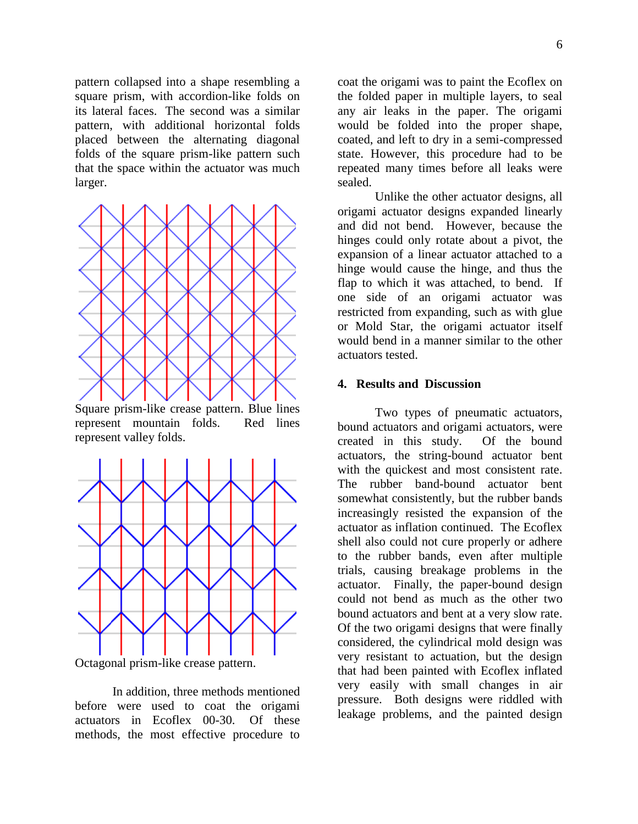pattern collapsed into a shape resembling a square prism, with accordion-like folds on its lateral faces. The second was a similar pattern, with additional horizontal folds placed between the alternating diagonal folds of the square prism-like pattern such that the space within the actuator was much larger.



Square prism-like crease pattern. Blue lines represent mountain folds. Red lines represent valley folds.



Octagonal prism-like crease pattern.

In addition, three methods mentioned before were used to coat the origami actuators in Ecoflex 00-30. Of these methods, the most effective procedure to coat the origami was to paint the Ecoflex on the folded paper in multiple layers, to seal any air leaks in the paper. The origami would be folded into the proper shape, coated, and left to dry in a semi-compressed state. However, this procedure had to be repeated many times before all leaks were sealed.

Unlike the other actuator designs, all origami actuator designs expanded linearly and did not bend. However, because the hinges could only rotate about a pivot, the expansion of a linear actuator attached to a hinge would cause the hinge, and thus the flap to which it was attached, to bend. If one side of an origami actuator was restricted from expanding, such as with glue or Mold Star, the origami actuator itself would bend in a manner similar to the other actuators tested.

#### **4. Results and Discussion**

Two types of pneumatic actuators, bound actuators and origami actuators, were created in this study. Of the bound actuators, the string-bound actuator bent with the quickest and most consistent rate. The rubber band-bound actuator bent somewhat consistently, but the rubber bands increasingly resisted the expansion of the actuator as inflation continued. The Ecoflex shell also could not cure properly or adhere to the rubber bands, even after multiple trials, causing breakage problems in the actuator. Finally, the paper-bound design could not bend as much as the other two bound actuators and bent at a very slow rate. Of the two origami designs that were finally considered, the cylindrical mold design was very resistant to actuation, but the design that had been painted with Ecoflex inflated very easily with small changes in air pressure. Both designs were riddled with leakage problems, and the painted design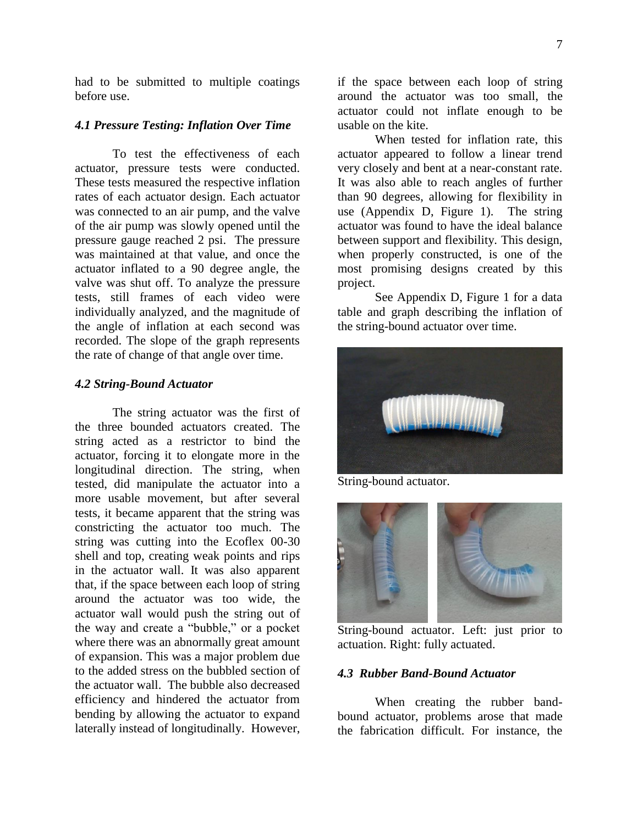had to be submitted to multiple coatings before use.

#### *4.1 Pressure Testing: Inflation Over Time*

To test the effectiveness of each actuator, pressure tests were conducted. These tests measured the respective inflation rates of each actuator design. Each actuator was connected to an air pump, and the valve of the air pump was slowly opened until the pressure gauge reached 2 psi. The pressure was maintained at that value, and once the actuator inflated to a 90 degree angle, the valve was shut off. To analyze the pressure tests, still frames of each video were individually analyzed, and the magnitude of the angle of inflation at each second was recorded. The slope of the graph represents the rate of change of that angle over time.

#### *4.2 String-Bound Actuator*

The string actuator was the first of the three bounded actuators created. The string acted as a restrictor to bind the actuator, forcing it to elongate more in the longitudinal direction. The string, when tested, did manipulate the actuator into a more usable movement, but after several tests, it became apparent that the string was constricting the actuator too much. The string was cutting into the Ecoflex 00-30 shell and top, creating weak points and rips in the actuator wall. It was also apparent that, if the space between each loop of string around the actuator was too wide, the actuator wall would push the string out of the way and create a "bubble," or a pocket where there was an abnormally great amount of expansion. This was a major problem due to the added stress on the bubbled section of the actuator wall. The bubble also decreased efficiency and hindered the actuator from bending by allowing the actuator to expand laterally instead of longitudinally. However,

if the space between each loop of string around the actuator was too small, the actuator could not inflate enough to be usable on the kite.

When tested for inflation rate, this actuator appeared to follow a linear trend very closely and bent at a near-constant rate. It was also able to reach angles of further than 90 degrees, allowing for flexibility in use (Appendix D, Figure 1). The string actuator was found to have the ideal balance between support and flexibility. This design, when properly constructed, is one of the most promising designs created by this project.

See Appendix D, Figure 1 for a data table and graph describing the inflation of the string-bound actuator over time.



String-bound actuator.



String-bound actuator. Left: just prior to actuation. Right: fully actuated.

#### *4.3 Rubber Band-Bound Actuator*

When creating the rubber bandbound actuator, problems arose that made the fabrication difficult. For instance, the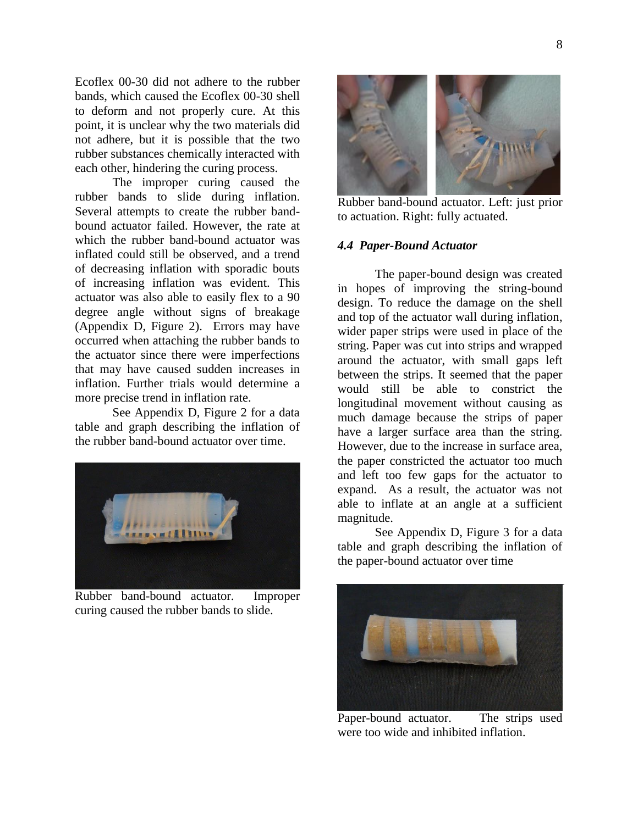Ecoflex 00-30 did not adhere to the rubber bands, which caused the Ecoflex 00-30 shell to deform and not properly cure. At this point, it is unclear why the two materials did not adhere, but it is possible that the two rubber substances chemically interacted with each other, hindering the curing process.

The improper curing caused the rubber bands to slide during inflation. Several attempts to create the rubber bandbound actuator failed. However, the rate at which the rubber band-bound actuator was inflated could still be observed, and a trend of decreasing inflation with sporadic bouts of increasing inflation was evident. This actuator was also able to easily flex to a 90 degree angle without signs of breakage (Appendix D, Figure 2). Errors may have occurred when attaching the rubber bands to the actuator since there were imperfections that may have caused sudden increases in inflation. Further trials would determine a more precise trend in inflation rate.

See Appendix D, Figure 2 for a data table and graph describing the inflation of the rubber band-bound actuator over time.



Rubber band-bound actuator. Improper curing caused the rubber bands to slide.



Rubber band-bound actuator. Left: just prior to actuation. Right: fully actuated.

#### *4.4 Paper-Bound Actuator*

The paper-bound design was created in hopes of improving the string-bound design. To reduce the damage on the shell and top of the actuator wall during inflation, wider paper strips were used in place of the string. Paper was cut into strips and wrapped around the actuator, with small gaps left between the strips. It seemed that the paper would still be able to constrict the longitudinal movement without causing as much damage because the strips of paper have a larger surface area than the string. However, due to the increase in surface area, the paper constricted the actuator too much and left too few gaps for the actuator to expand. As a result, the actuator was not able to inflate at an angle at a sufficient magnitude.

See Appendix D, Figure 3 for a data table and graph describing the inflation of the paper-bound actuator over time



Paper-bound actuator. The strips used were too wide and inhibited inflation.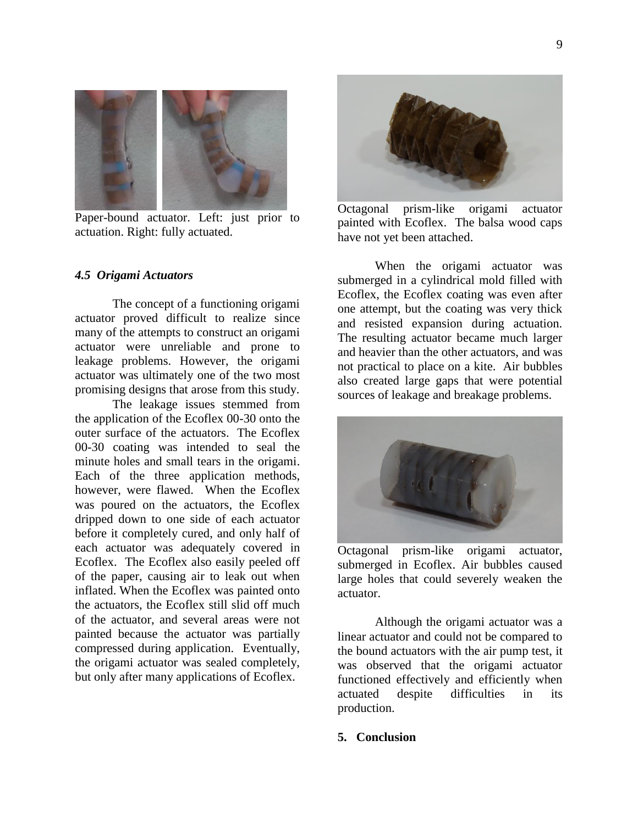

Paper-bound actuator. Left: just prior to actuation. Right: fully actuated.

#### *4.5 Origami Actuators*

The concept of a functioning origami actuator proved difficult to realize since many of the attempts to construct an origami actuator were unreliable and prone to leakage problems. However, the origami actuator was ultimately one of the two most promising designs that arose from this study.

The leakage issues stemmed from the application of the Ecoflex 00-30 onto the outer surface of the actuators. The Ecoflex 00-30 coating was intended to seal the minute holes and small tears in the origami. Each of the three application methods, however, were flawed. When the Ecoflex was poured on the actuators, the Ecoflex dripped down to one side of each actuator before it completely cured, and only half of each actuator was adequately covered in Ecoflex. The Ecoflex also easily peeled off of the paper, causing air to leak out when inflated. When the Ecoflex was painted onto the actuators, the Ecoflex still slid off much of the actuator, and several areas were not painted because the actuator was partially compressed during application. Eventually, the origami actuator was sealed completely, but only after many applications of Ecoflex.



Octagonal prism-like origami actuator painted with Ecoflex. The balsa wood caps have not yet been attached.

When the origami actuator was submerged in a cylindrical mold filled with Ecoflex, the Ecoflex coating was even after one attempt, but the coating was very thick and resisted expansion during actuation. The resulting actuator became much larger and heavier than the other actuators, and was not practical to place on a kite. Air bubbles also created large gaps that were potential sources of leakage and breakage problems.



Octagonal prism-like origami actuator, submerged in Ecoflex. Air bubbles caused large holes that could severely weaken the actuator.

Although the origami actuator was a linear actuator and could not be compared to the bound actuators with the air pump test, it was observed that the origami actuator functioned effectively and efficiently when actuated despite difficulties in its production.

#### **5. Conclusion**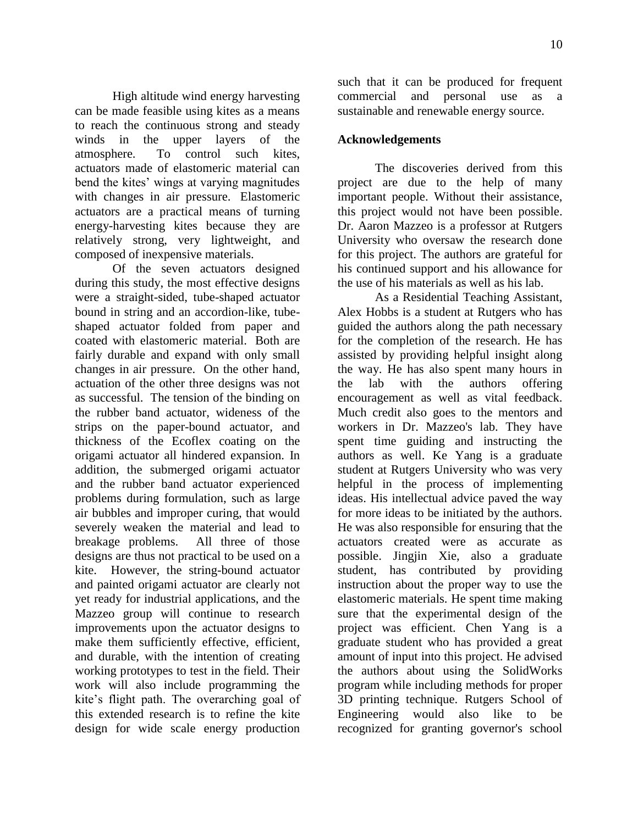High altitude wind energy harvesting can be made feasible using kites as a means to reach the continuous strong and steady winds in the upper layers of the atmosphere. To control such kites, actuators made of elastomeric material can bend the kites' wings at varying magnitudes with changes in air pressure. Elastomeric actuators are a practical means of turning energy-harvesting kites because they are relatively strong, very lightweight, and composed of inexpensive materials.

Of the seven actuators designed during this study, the most effective designs were a straight-sided, tube-shaped actuator bound in string and an accordion-like, tubeshaped actuator folded from paper and coated with elastomeric material. Both are fairly durable and expand with only small changes in air pressure. On the other hand, actuation of the other three designs was not as successful. The tension of the binding on the rubber band actuator, wideness of the strips on the paper-bound actuator, and thickness of the Ecoflex coating on the origami actuator all hindered expansion. In addition, the submerged origami actuator and the rubber band actuator experienced problems during formulation, such as large air bubbles and improper curing, that would severely weaken the material and lead to breakage problems. All three of those designs are thus not practical to be used on a kite. However, the string-bound actuator and painted origami actuator are clearly not yet ready for industrial applications, and the Mazzeo group will continue to research improvements upon the actuator designs to make them sufficiently effective, efficient, and durable, with the intention of creating working prototypes to test in the field. Their work will also include programming the kite's flight path. The overarching goal of this extended research is to refine the kite design for wide scale energy production

such that it can be produced for frequent commercial and personal use as a sustainable and renewable energy source.

#### **Acknowledgements**

The discoveries derived from this project are due to the help of many important people. Without their assistance, this project would not have been possible. Dr. Aaron Mazzeo is a professor at Rutgers University who oversaw the research done for this project. The authors are grateful for his continued support and his allowance for the use of his materials as well as his lab.

As a Residential Teaching Assistant, Alex Hobbs is a student at Rutgers who has guided the authors along the path necessary for the completion of the research. He has assisted by providing helpful insight along the way. He has also spent many hours in the lab with the authors offering encouragement as well as vital feedback. Much credit also goes to the mentors and workers in Dr. Mazzeo's lab. They have spent time guiding and instructing the authors as well. Ke Yang is a graduate student at Rutgers University who was very helpful in the process of implementing ideas. His intellectual advice paved the way for more ideas to be initiated by the authors. He was also responsible for ensuring that the actuators created were as accurate as possible. Jingjin Xie, also a graduate student, has contributed by providing instruction about the proper way to use the elastomeric materials. He spent time making sure that the experimental design of the project was efficient. Chen Yang is a graduate student who has provided a great amount of input into this project. He advised the authors about using the SolidWorks program while including methods for proper 3D printing technique. Rutgers School of Engineering would also like to be recognized for granting governor's school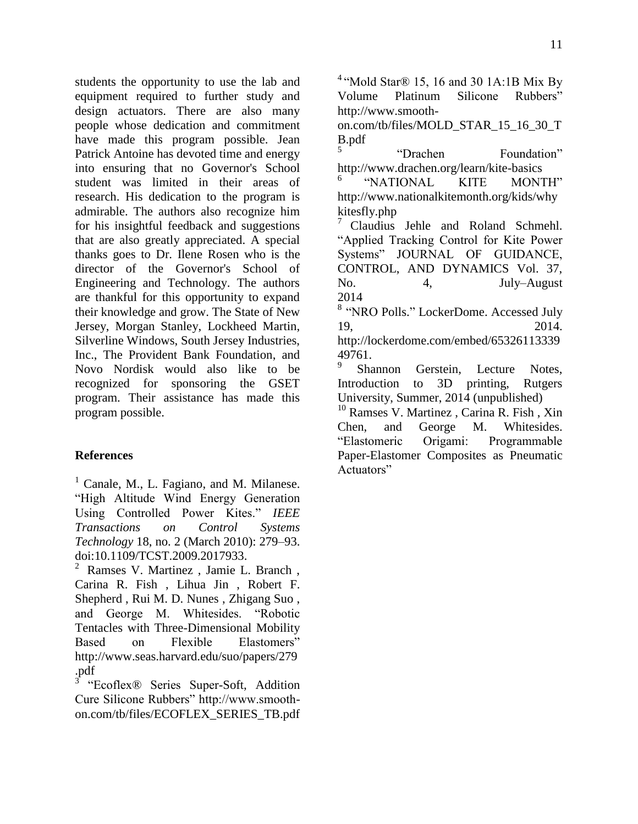students the opportunity to use the lab and equipment required to further study and design actuators. There are also many people whose dedication and commitment have made this program possible. Jean Patrick Antoine has devoted time and energy into ensuring that no Governor's School student was limited in their areas of research. His dedication to the program is admirable. The authors also recognize him for his insightful feedback and suggestions that are also greatly appreciated. A special thanks goes to Dr. Ilene Rosen who is the director of the Governor's School of Engineering and Technology. The authors are thankful for this opportunity to expand their knowledge and grow. The State of New Jersey, Morgan Stanley, Lockheed Martin, Silverline Windows, South Jersey Industries, Inc., The Provident Bank Foundation, and Novo Nordisk would also like to be recognized for sponsoring the GSET program. Their assistance has made this program possible.

## **References**

 $<sup>1</sup>$  Canale, M., L. Fagiano, and M. Milanese.</sup> "High Altitude Wind Energy Generation Using Controlled Power Kites." *IEEE Transactions on Control Systems Technology* 18, no. 2 (March 2010): 279–93. doi:10.1109/TCST.2009.2017933.

 $2$  Ramses V. Martinez, Jamie L. Branch, Carina R. Fish , Lihua Jin , Robert F. Shepherd , Rui M. D. Nunes , Zhigang Suo , and George M. Whitesides. "Robotic Tentacles with Three-Dimensional Mobility Based on Flexible Elastomers" http://www.seas.harvard.edu/suo/papers/279 .pdf

3 "Ecoflex® Series Super-Soft, Addition Cure Silicone Rubbers" http://www.smoothon.com/tb/files/ECOFLEX\_SERIES\_TB.pdf

<sup>4</sup> "Mold Star® 15, 16 and 30 1A:1B Mix By Volume Platinum Silicone Rubbers" http://www.smooth-

on.com/tb/files/MOLD\_STAR\_15\_16\_30\_T B.pdf

5 "Drachen Foundation" http://www.drachen.org/learn/kite-basics

<sup>6</sup>"NATIONAL KITE MONTH" http://www.nationalkitemonth.org/kids/why kitesfly.php

<sup>7</sup> Claudius Jehle and Roland Schmehl. "Applied Tracking Control for Kite Power Systems" JOURNAL OF GUIDANCE, CONTROL, AND DYNAMICS Vol. 37, No. 4, July–August 2014

<sup>8</sup> "NRO Polls." LockerDome. Accessed July 19, 2014.

http://lockerdome.com/embed/65326113339 49761.

9 Shannon Gerstein, Lecture Notes, Introduction to 3D printing, Rutgers University, Summer, 2014 (unpublished)

<sup>10</sup> Ramses V. Martinez, Carina R. Fish, Xin Chen, and George M. Whitesides. "Elastomeric Origami: Programmable Paper-Elastomer Composites as Pneumatic Actuators"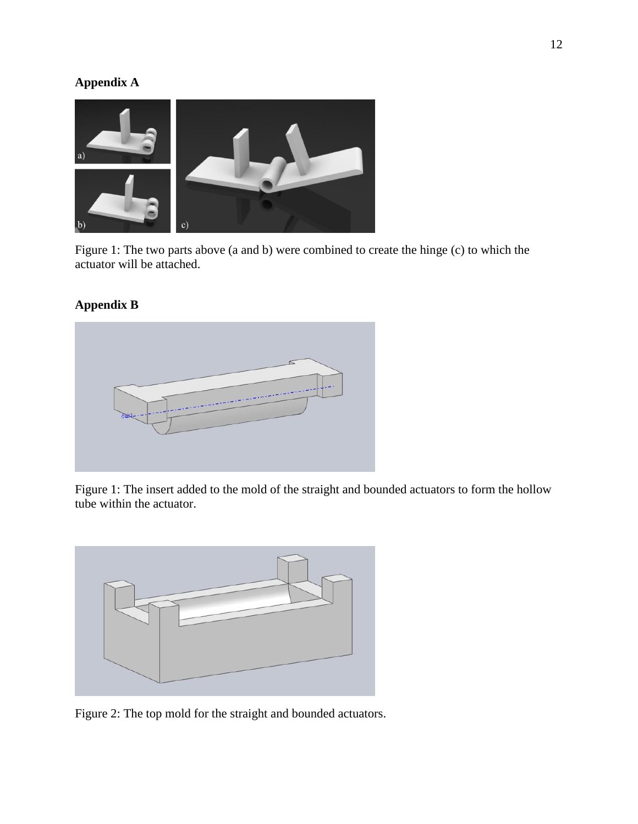# **Appendix A**



Figure 1: The two parts above (a and b) were combined to create the hinge (c) to which the actuator will be attached.

## **Appendix B**



Figure 1: The insert added to the mold of the straight and bounded actuators to form the hollow tube within the actuator.



Figure 2: The top mold for the straight and bounded actuators.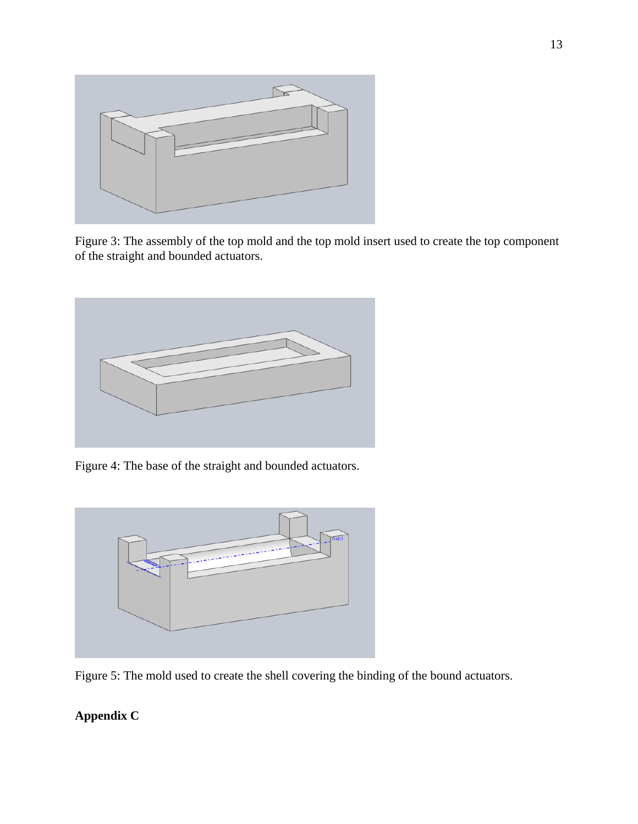

Figure 3: The assembly of the top mold and the top mold insert used to create the top component of the straight and bounded actuators.



Figure 4: The base of the straight and bounded actuators.



Figure 5: The mold used to create the shell covering the binding of the bound actuators.

# **Appendix C**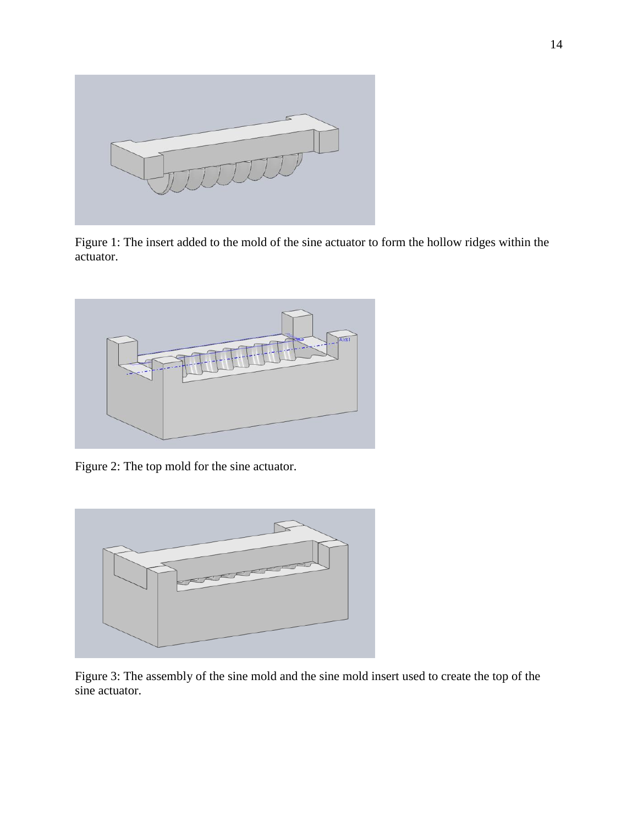

Figure 1: The insert added to the mold of the sine actuator to form the hollow ridges within the actuator.



Figure 2: The top mold for the sine actuator.



Figure 3: The assembly of the sine mold and the sine mold insert used to create the top of the sine actuator.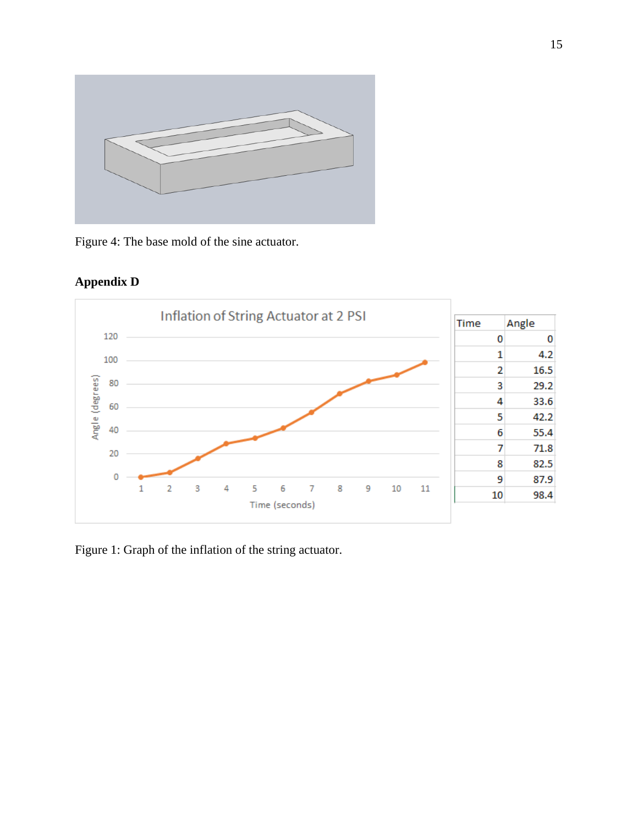

Figure 4: The base mold of the sine actuator.





Figure 1: Graph of the inflation of the string actuator.